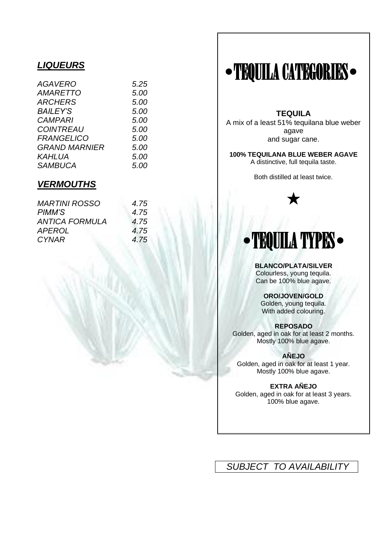### *LIQUEURS*

| <b>AGAVERO</b>       | 5.25 |
|----------------------|------|
| <i>AMARETTO</i>      | 5.00 |
| <i>ARCHERS</i>       | 5.00 |
| <b>BAILEY'S</b>      | 5.00 |
| <b>CAMPARI</b>       | 5.00 |
| <b>COINTREAU</b>     | 5.00 |
| <b>FRANGELICO</b>    | 5.00 |
| <b>GRAND MARNIER</b> | 5.00 |
| KAHLUA               | 5.00 |
| <b>SAMBUCA</b>       | 5.00 |
|                      |      |

#### *VERMOUTHS*

| <i>MARTINI ROSSO</i> | 4.75 |
|----------------------|------|
| <i>PIMM'S</i>        | 4.75 |
| ANTICA FORMULA       | 4.75 |
| <i>APEROL</i>        | 4.75 |
| <b>CYNAR</b>         | 4.75 |

# **•**TEQUILA CATEGORIES**•**

**TEQUILA**

A mix of a least 51% tequilana blue weber agave and sugar cane.

**100% TEQUILANA BLUE WEBER AGAVE** A distinctive, full tequila taste.

Both distilled at least twice.



# **•**TEQUILA TYPES**•**

**BLANCO/PLATA/SILVER** Colourless, young tequila. Can be 100% blue agave.

**ORO/JOVEN/GOLD** Golden, young tequila. With added colouring.

**REPOSADO** Golden, aged in oak for at least 2 months. Mostly 100% blue agave.

**AÑEJO** Golden, aged in oak for at least 1 year. Mostly 100% blue agave.

**EXTRA AÑEJO** Golden, aged in oak for at least 3 years. 100% blue agave.

## *SUBJECT TO AVAILABILITY*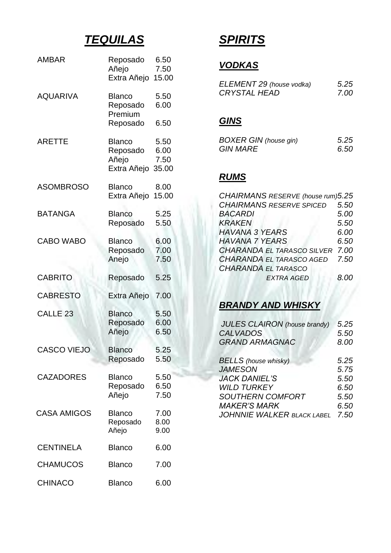# *TEQUILAS*

| AMBAR               | Reposado<br>Añejo<br>Extra Añejo     | 6.50<br>7.50<br>15.00 |
|---------------------|--------------------------------------|-----------------------|
| <b>AQUARIVA</b>     | <b>Blanco</b><br>Reposado<br>Premium | 5.50<br>6.00          |
|                     | Reposado                             | 6.50                  |
| <b>ARETTE</b>       | <b>Blanco</b>                        | 5.50                  |
|                     | Reposado                             | 6.00                  |
|                     | Añejo                                | 7.50                  |
|                     | Extra Añejo                          | 35.00                 |
| <b>ASOMBROSO</b>    | <b>Blanco</b>                        | 8.00                  |
|                     | Extra Añejo                          | 15.00                 |
| <b>BATANGA</b>      | <b>Blanco</b>                        | 5.25                  |
|                     | Reposado                             | 5.50                  |
| <b>CABO WABO</b>    | <b>Blanco</b>                        | 6.00                  |
|                     | Reposado                             | 7.00                  |
|                     | Anejo                                | 7.50                  |
| <b>CABRITO</b>      |                                      | 5.25                  |
|                     | Reposado                             |                       |
| <b>CABRESTO</b>     | Extra Añejo                          | 7.00                  |
| CALLE <sub>23</sub> | <b>Blanco</b>                        | 5.50                  |
|                     | Reposado                             | 6.00                  |
|                     | Añejo                                | 6.50                  |
| CASCO VIEJO         | Blanco                               | 5.25                  |
|                     | Reposado                             | 5.50                  |
|                     | <b>Blanco</b>                        | 5.50                  |
| <b>CAZADORES</b>    |                                      |                       |
|                     | Reposado<br>Añejo                    | 6.50<br>7.50          |
| <b>CASA AMIGOS</b>  | <b>Blanco</b>                        | 7.00                  |
|                     | Reposado                             | 8.00                  |
|                     | Añejo                                | 9.00                  |
| <b>CENTINELA</b>    | <b>Blanco</b>                        | 6.00                  |
| <b>CHAMUCOS</b>     | <b>Blanco</b>                        | 7.00                  |

# *SPIRITS*

## *VODKAS*

| ELEMENT 29 (house vodka) | 5.25 |
|--------------------------|------|
| <b>CRYSTAL HEAD</b>      | 7.00 |

## *GINS*

| <b>BOXER GIN (house gin)</b> | 5.25 |
|------------------------------|------|
| <b>GIN MARE</b>              | 6.50 |

## *RUMS*

| CHAIRMANS RESERVE (house rum)5.25 |      |
|-----------------------------------|------|
| <b>CHAIRMANS RESERVE SPICED</b>   | 5.50 |
| <b>BACARDI</b>                    | 5.00 |
| <b>KRAKEN</b>                     | 5.50 |
| <b>HAVANA 3 YEARS</b>             | 6.00 |
| <b>HAVANA 7 YEARS</b>             | 6.50 |
| <b>CHARANDA EL TARASCO SILVER</b> | 7.00 |
| CHARANDA EL TARASCO AGED          | 7.50 |
| <b>CHARANDA EL TARASCO</b>        |      |
| <b>EXTRA AGED</b>                 | 8.OO |

## *BRANDY AND WHISKY*

| <b>JULES CLAIRON</b> (house brandy)<br><b>CALVADOS</b> | 5.25<br>5.50 |
|--------------------------------------------------------|--------------|
| <b>GRAND ARMAGNAC</b>                                  | 8.00         |
| <b>BELLS</b> (house whisky)                            | 5.25         |
| <b>JAMESON</b><br><b>JACK DANIEL'S</b>                 | 5.75<br>5.50 |
| <b>WILD TURKEY</b>                                     | 6.50         |
| <b>SOUTHERN COMFORT</b>                                | 5.50         |
| <b>MAKER'S MARK</b>                                    | 6.50         |
| <b>JOHNNIE WALKER BLACK LABEL</b>                      | 7.50         |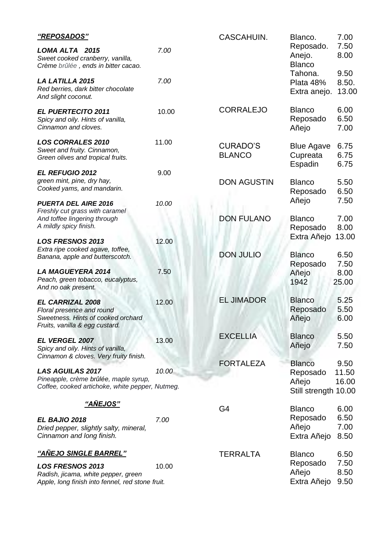| "REPOSADOS"                                                                                                                  |       | CASCAHUIN.                       | Blanco.                                                    | 7.00                   |
|------------------------------------------------------------------------------------------------------------------------------|-------|----------------------------------|------------------------------------------------------------|------------------------|
| LOMA ALTA 2015<br>Sweet cooked cranberry, vanilla,<br>Crème brûlée, ends in bitter cacao.                                    | 7.00  |                                  | Reposado.<br>Anejo.<br><b>Blanco</b>                       | 7.50<br>8.00           |
| <b>LA LATILLA 2015</b><br>Red berries, dark bitter chocolate<br>And slight coconut.                                          | 7.00  |                                  | Tahona.<br>Plata 48%<br>Extra anejo.                       | 9.50<br>8.50.<br>13.00 |
| <b>EL PUERTECITO 2011</b><br>Spicy and oily. Hints of vanilla,<br>Cinnamon and cloves.                                       | 10.00 | <b>CORRALEJO</b>                 | <b>Blanco</b><br>Reposado<br>Añejo                         | 6.00<br>6.50<br>7.00   |
| <b>LOS CORRALES 2010</b><br>Sweet and fruity. Cinnamon,<br>Green olives and tropical fruits.                                 | 11.00 | <b>CURADO'S</b><br><b>BLANCO</b> | <b>Blue Agave</b><br>Cupreata<br>Espadin                   | 6.75<br>6.75<br>6.75   |
| EL REFUGIO 2012<br>green mint, pine, dry hay,<br>Cooked yams, and mandarin.                                                  | 9.00  | <b>DON AGUSTIN</b>               | <b>Blanco</b><br>Reposado                                  | 5.50<br>6.50           |
| <b>PUERTA DEL AIRE 2016</b><br>Freshly cut grass with caramel<br>And toffee lingering through<br>A mildly spicy finish.      | 10.00 | <b>DON FULANO</b>                | Añejo<br><b>Blanco</b><br>Reposado                         | 7.50<br>7.00<br>8.00   |
| <b>LOS FRESNOS 2013</b><br>Extra ripe cooked agave, toffee,<br>Banana, apple and butterscotch.                               | 12.00 | <b>DON JULIO</b>                 | Extra Añejo<br><b>Blanco</b>                               | 13.00<br>6.50          |
| <b>LA MAGUEYERA 2014</b><br>Peach, green tobacco, eucalyptus,<br>And no oak present.                                         | 7.50  |                                  | Reposado<br>Añejo<br>1942                                  | 7.50<br>8.00<br>25.00  |
| <b>EL CARRIZAL 2008</b><br>Floral presence and round<br>Sweetness. Hints of cooked orchard<br>Fruits, vanilla & egg custard. | 12.00 | <b>EL JIMADOR</b>                | <b>Blanco</b><br>Reposado<br>Añejo                         | 5.25<br>5.50<br>6.00   |
| EL VERGEL 2007<br>Spicy and oily. Hints of vanilla,<br>Cinnamon & cloves. Very fruity finish.                                | 13.00 | <b>EXCELLIA</b>                  | <b>Blanco</b><br>Añejo                                     | 5.50<br>7.50           |
| <b>LAS AGUILAS 2017</b><br>Pineapple, crème brûlée, maple syrup,<br>Coffee, cooked artichoke, white pepper, Nutmeg.          | 10.00 | <b>FORTALEZA</b>                 | <b>Blanco</b><br>Reposado<br>Añejo<br>Still strength 10.00 | 9.50<br>11.50<br>16.00 |
| <u>"AÑEJOS"</u>                                                                                                              |       | G <sub>4</sub>                   | <b>Blanco</b>                                              | 6.00                   |
| EL BAJIO 2018<br>Dried pepper, slightly salty, mineral,<br>Cinnamon and long finish.                                         | 7.00  |                                  | Reposado<br>Añejo<br>Extra Añejo                           | 6.50<br>7.00<br>8.50   |
| <u> "AÑEJO SINGLE BARREL"</u>                                                                                                |       | <b>TERRALTA</b>                  | <b>Blanco</b>                                              | 6.50                   |
| <b>LOS FRESNOS 2013</b><br>Radish, jicama, white pepper, green<br>Apple, long finish into fennel, red stone fruit.           | 10.00 |                                  | Reposado<br>Añejo<br>Extra Añejo                           | 7.50<br>8.50<br>9.50   |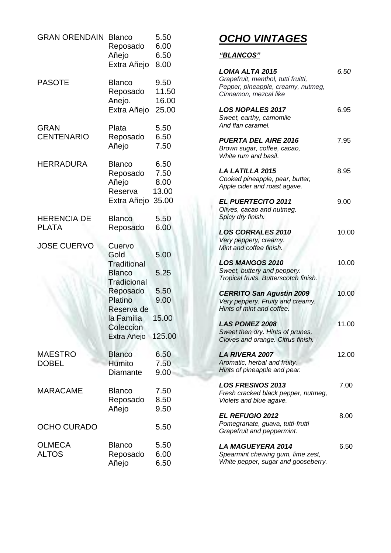| <b>GRAN ORENDAIN</b>               | <b>Blanco</b><br>Reposado<br>Añejo<br>Extra Añejo                                                                                                          | 5.50<br>6.00<br>6.50<br>8.00                    |
|------------------------------------|------------------------------------------------------------------------------------------------------------------------------------------------------------|-------------------------------------------------|
| <b>PASOTE</b>                      | <b>Blanco</b><br>Reposado<br>Anejo.<br>Extra Añejo                                                                                                         | 9.50<br>11.50<br>16.00<br>25.00                 |
| <b>GRAN</b><br><b>CENTENARIO</b>   | Plata<br>Reposado<br>Añejo                                                                                                                                 | 5.50<br>6.50<br>7.50                            |
| <b>HERRADURA</b>                   | <b>Blanco</b><br>Reposado<br>Añejo<br>Reserva<br>Extra Añejo                                                                                               | 6.50<br>7.50<br>8.00<br>13.00<br>35.00          |
| <b>HERENCIA DE</b><br><b>PLATA</b> | <b>Blanco</b><br>Reposado                                                                                                                                  | 5.50<br>6.00                                    |
| <b>JOSE CUERVO</b>                 | Cuervo<br>Gold<br><b>Traditional</b><br><b>Blanco</b><br><b>Tradicional</b><br>Reposado<br>Platino<br>Reserva de<br>la Familia<br>Coleccion<br>Extra Añejo | 5.00<br>5.25<br>5.50<br>9.00<br>15.00<br>125.00 |
| <b>MAESTRO</b><br><b>DOBEL</b>     | <b>Blanco</b><br>Humito<br>Diamante                                                                                                                        | 6.50<br>7.50<br>9.00                            |
| <b>MARACAME</b>                    | <b>Blanco</b><br>Reposado<br>Añejo                                                                                                                         | 7.50<br>8.50<br>9.50                            |
| <b>OCHO CURADO</b>                 |                                                                                                                                                            | 5.50                                            |
| <b>OLMECA</b><br><b>ALTOS</b>      | <b>Blanco</b><br>Reposado<br>Añejo                                                                                                                         | 5.50<br>6.00<br>6.50                            |

# *OCHO VINTAGES*

#### *"BLANCOS"*

| LOMA ALTA 2015<br>Grapefruit, menthol, tutti fruitti,<br>Pepper, pineapple, creamy, nutmeg,<br>Cinnamon, mezcal like | 6.50  |
|----------------------------------------------------------------------------------------------------------------------|-------|
| <b>LOS NOPALES 2017</b><br>Sweet, earthy, camomile<br>And flan caramel.                                              | 6.95  |
| <b>PUERTA DEL AIRE 2016</b><br>Brown sugar, coffee, cacao,<br>White rum and basil.                                   | 7.95  |
| LA LATILLA 2015<br>Cooked pineapple, pear, butter,<br>Apple cider and roast agave.                                   | 8.95  |
| <b>EL PUERTECITO 2011</b><br>Olives, cacao and nutmeg.<br>Spicy dry finish.                                          | 9.00  |
| <b>LOS CORRALES 2010</b><br>Very peppery, creamy.<br>Mint and coffee finish.                                         | 10.00 |
| <b>LOS MANGOS 2010</b><br>Sweet, buttery and peppery.<br>Tropical fruits. Butterscotch finish.                       | 10.00 |
| <b>CERRITO San Agustin 2009</b><br>Very peppery. Fruity and creamy.<br>Hints of mint and coffee.                     | 10.00 |
| <b>LAS POMEZ 2008</b><br>Sweet then dry. Hints of prunes,<br>Cloves and orange. Citrus finish.                       | 11.00 |
| <b>LA RIVERA 2007</b><br>Aromatic, herbal and fruity.<br>Hints of pineapple and pear.                                | 12.00 |
| <b>LOS FRESNOS 2013</b><br>Fresh cracked black pepper, nutmeg,<br>Violets and blue agave.                            | 7.00  |
| <b>EL REFUGIO 2012</b><br>Pomegranate, guava, tutti-frutti<br>Grapefruit and peppermint.                             | 8.00  |
| <i><b>LA MAGUEYERA 2014</b></i><br>Spearmint chewing gum, lime zest,<br>White pepper, sugar and gooseberry.          | 6.50  |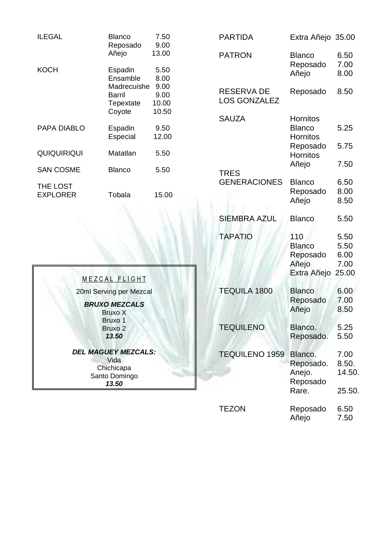| ILEGAL               | <b>Blanco</b><br>Reposado<br>Añejo                                  | 7.50<br>9.00<br>13.00                          |
|----------------------|---------------------------------------------------------------------|------------------------------------------------|
| KOCH                 | Espadin<br>Ensamble<br>Madrecuishe<br>Barril<br>Tepextate<br>Coyote | 5.50<br>8.00<br>9.00<br>9.00<br>10.00<br>10.50 |
| PAPA DIABLO          | Espadin<br>Especial                                                 | 9.50<br>12.00                                  |
| <b>QUIQUIRIQUI</b>   | Matatlan                                                            | 5.50                                           |
| SAN COSME            | Blanco                                                              | 5.50                                           |
| THE LOST<br>EXPLORER | Tobala                                                              | 15.00                                          |

| <b>PARTIDA</b>                           | Extra Añejo 35.00                                               |                                       |
|------------------------------------------|-----------------------------------------------------------------|---------------------------------------|
| <b>PATRON</b>                            | <b>Blanco</b><br>Reposado<br>Añejo                              | 6.50<br>7.00<br>8.00                  |
| <b>RESERVA DE</b><br><b>LOS GONZALEZ</b> | Reposado                                                        | 8.50                                  |
| <b>SAUZA</b>                             | <b>Hornitos</b><br><b>Blanco</b><br><b>Hornitos</b><br>Reposado | 5.25<br>5.75                          |
| <b>TRES</b>                              | <b>Hornitos</b><br>Añejo                                        | 7.50                                  |
| <b>GENERACIONES</b>                      | <b>Blanco</b><br>Reposado<br>Añejo                              | 6.50<br>8.00<br>8.50                  |
| <b>SIEMBRA AZUL</b>                      | <b>Blanco</b>                                                   | 5.50                                  |
| <b>TAPATIO</b>                           | 110<br><b>Blanco</b><br>Reposado<br>Añejo<br>Extra Añejo        | 5.50<br>5.50<br>6.00<br>7.00<br>25.00 |
| <b>TEQUILA 1800</b>                      | <b>Blanco</b><br>Reposado<br>Añejo                              | 6.00<br>7.00<br>8.50                  |
| <b>TEQUILENO</b>                         | Blanco.<br>Reposado.                                            | 5.25<br>5.50                          |
| <b>TEQUILENO 1959</b>                    | Blanco.<br>Reposado.<br>Anejo.<br>Reposado<br>Rare.             | 7.00<br>8.50.<br>14.50.<br>25.50.     |
| <b>TEZON</b>                             | Reposado<br>Añejo                                               | 6.50<br>7.50                          |

| MEZCAL FLIGHT                                                              |  |
|----------------------------------------------------------------------------|--|
| 20ml Serving per Mezcal                                                    |  |
| <b>BRUXO MEZCALS</b><br>Bruxo X<br>Bruxo 1<br>Bruxo 2<br>13.50             |  |
| <b>DEL MAGUEY MEZCALS:</b><br>Vida<br>Chichicapa<br>Santo Domingo<br>13.50 |  |
|                                                                            |  |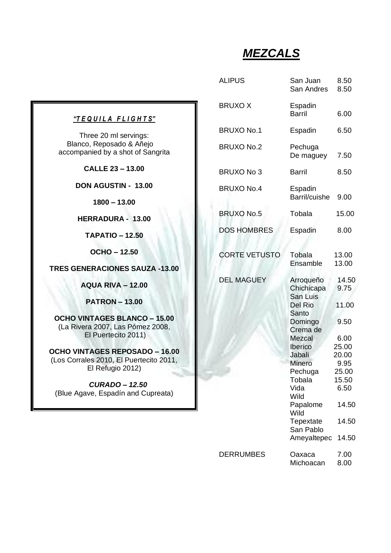# *MEZCALS*

|                                                      | <b>ALIPUS</b>        | San Juan<br>San Andres                 | 8.50<br>8.50   |
|------------------------------------------------------|----------------------|----------------------------------------|----------------|
| FLIGHTS"                                             | <b>BRUXOX</b>        | Espadin<br><b>Barril</b>               | 6.00           |
| servings:                                            | <b>BRUXO No.1</b>    | Espadin                                | 6.50           |
| do & Añejo<br>shot of Sangrita                       | <b>BRUXO No.2</b>    | Pechuga<br>De maguey                   | 7.50           |
| $-13.00$                                             | <b>BRUXO No 3</b>    | <b>Barril</b>                          | 8.50           |
| <b>IN - 13.00</b><br>13.00                           | <b>BRUXO No.4</b>    | Espadin<br>Barril/cuishe               | 9.00           |
|                                                      | <b>BRUXO No.5</b>    | Tobala                                 | 15.00          |
| $A - 13.00$                                          | <b>DOS HOMBRES</b>   | Espadin                                | 8.00           |
| $-12.50$                                             |                      |                                        |                |
| 12.50                                                | <b>CORTE VETUSTO</b> | Tobala                                 | 13.00          |
| <b>IES SAUZA -13.00</b>                              |                      | Ensamble                               | 13.00          |
| $A - 12.00$                                          | <b>DEL MAGUEY</b>    | Arroqueño<br>Chichicapa                | 14.50<br>9.75  |
| $-13.00$                                             |                      | San Luis<br>Del Rio                    | 11.00          |
| <b>BLANCO - 15.00</b><br>as Pómez 2008,<br>ito 2011) |                      | Santo<br>Domingo<br>Crema de<br>Mezcal | 9.50<br>6.00   |
| <b>EPOSADO – 16.00</b>                               |                      | Iberico<br>Jabali                      | 25.00<br>20.00 |
| El Puertecito 2011,                                  |                      | <b>Minero</b>                          | 9.95           |
| ว 2012)                                              |                      | Pechuga<br>Tobala                      | 25.00<br>15.50 |
| <b>D-12.50</b><br>lín and Cupreata)                  |                      | Vida<br>Wild                           | 6.50           |
|                                                      |                      | Papalome<br>Wild                       | 14.50          |
|                                                      |                      | Tepextate<br>San Pablo                 | 14.50          |
|                                                      |                      | Ameyaltepec                            | 14.50          |
|                                                      | <b>DERRUMBES</b>     | Oaxaca<br>Michoacan                    | 7.00<br>8.00   |

#### *"T E Q U I L A F L I G H T S"*

Three 20 ml Blanco, Reposa accompanied by a

**CALLE 23 – 13.00**

**DON AGUST** 

**1800 – 13.00**

**HERRADUR** 

**TAPATIO – 12.50**

**OCHO – 12.50**

#### **TRES GENERACION**

**AQUA RIVA – 12.00**

**PATRON – 13.00**

**OCHO VINTAGES B** (La Rivera 2007, L El Puerteci

**OCHO VINTAGES RI** (Los Corrales 2010, E **El Refugio** 

 *CURADO – 12.50* (Blue Agave, Espad